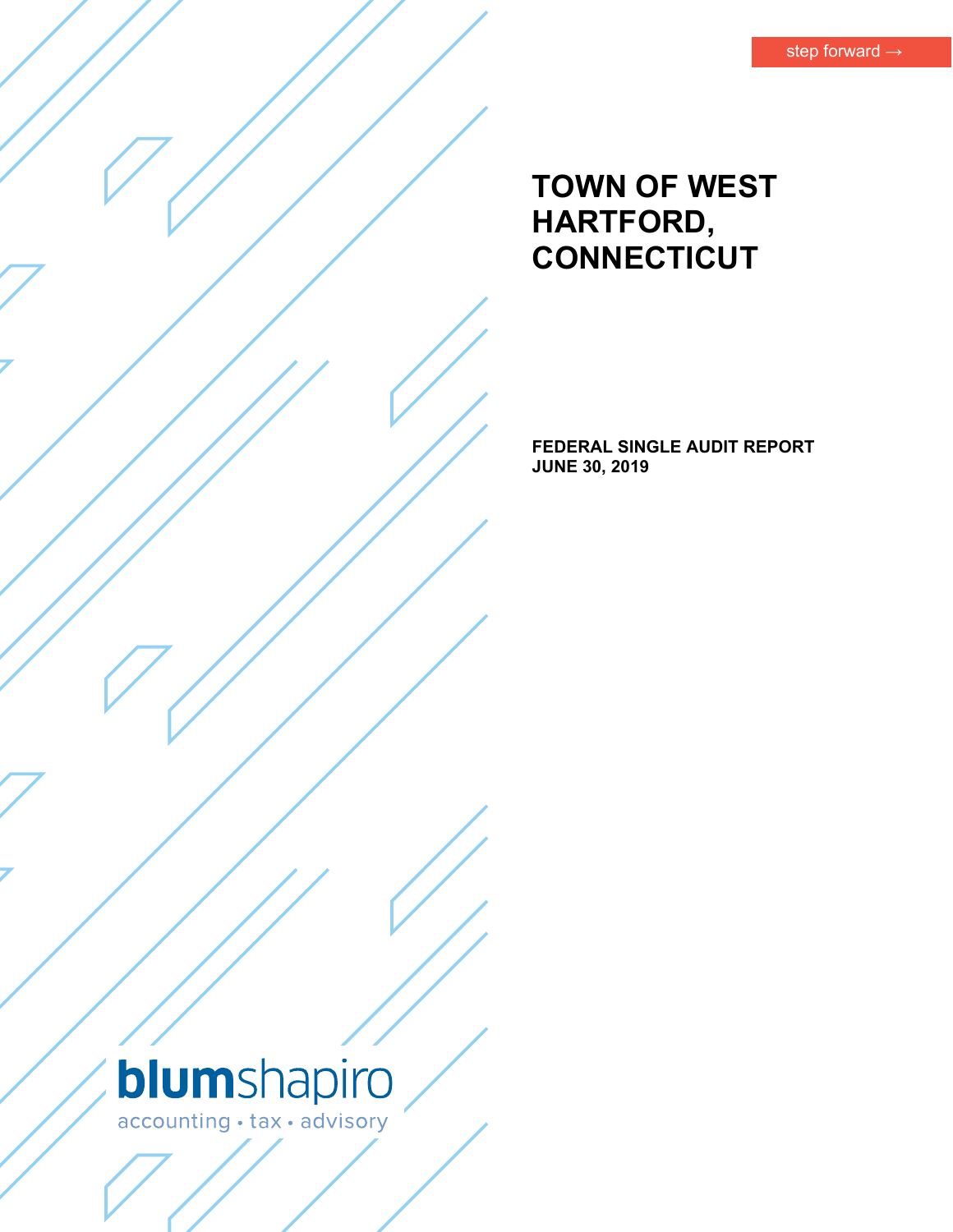# **TOWN OF WEST HARTFORD, CONNECTICUT**

**FEDERAL SINGLE AUDIT REPORT JUNE 30, 2019** 

# blumshapiro accounting · tax · advisory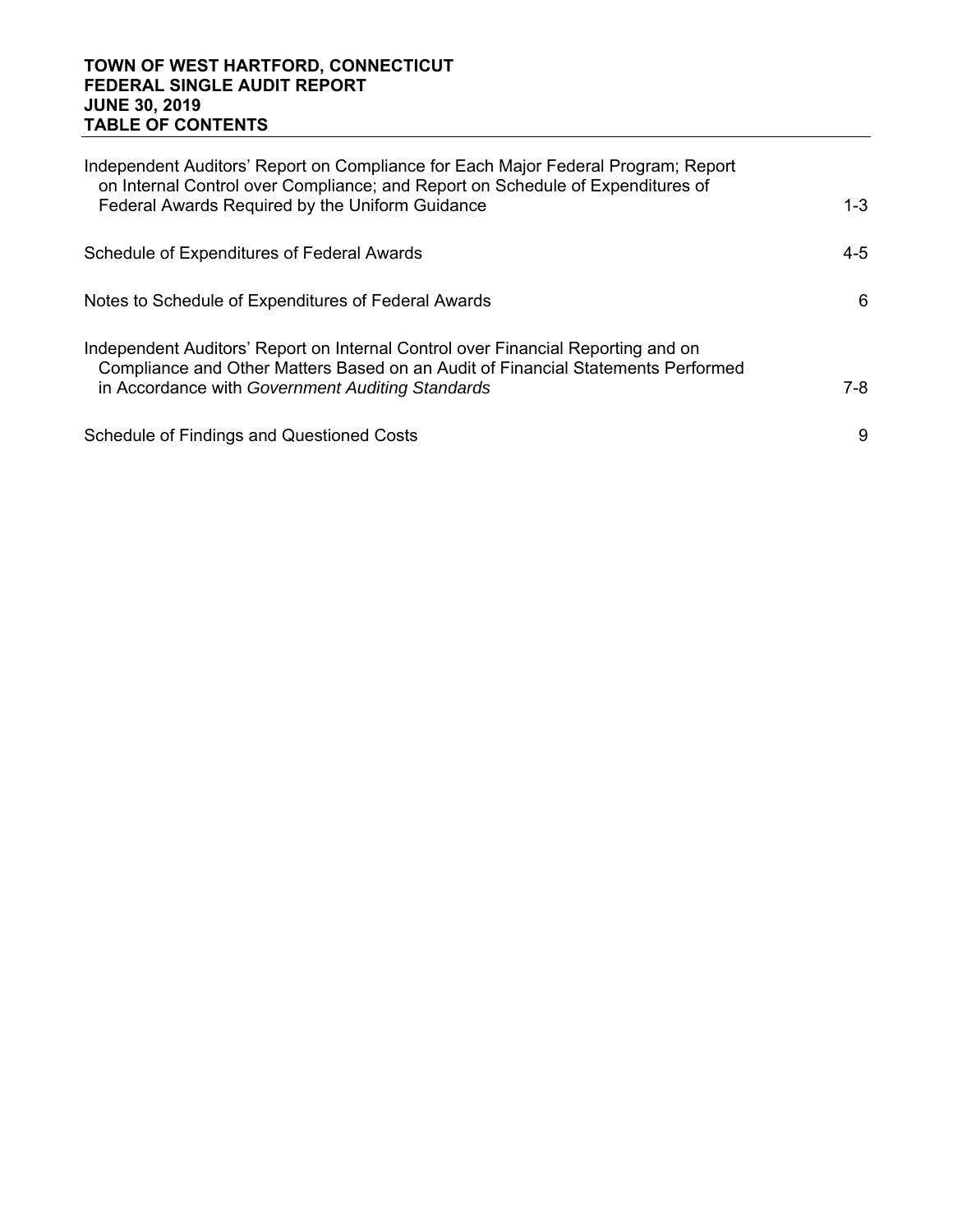#### **TOWN OF WEST HARTFORD, CONNECTICUT FEDERAL SINGLE AUDIT REPORT JUNE 30, 2019 TABLE OF CONTENTS**

| Independent Auditors' Report on Compliance for Each Major Federal Program; Report<br>on Internal Control over Compliance; and Report on Schedule of Expenditures of  |         |
|----------------------------------------------------------------------------------------------------------------------------------------------------------------------|---------|
| Federal Awards Required by the Uniform Guidance                                                                                                                      | $1 - 3$ |
| Schedule of Expenditures of Federal Awards                                                                                                                           | $4 - 5$ |
| Notes to Schedule of Expenditures of Federal Awards                                                                                                                  | 6       |
| Independent Auditors' Report on Internal Control over Financial Reporting and on<br>Compliance and Other Matters Based on an Audit of Financial Statements Performed |         |
| in Accordance with Government Auditing Standards                                                                                                                     | $7-8$   |
| <b>Schedule of Findings and Questioned Costs</b>                                                                                                                     | 9       |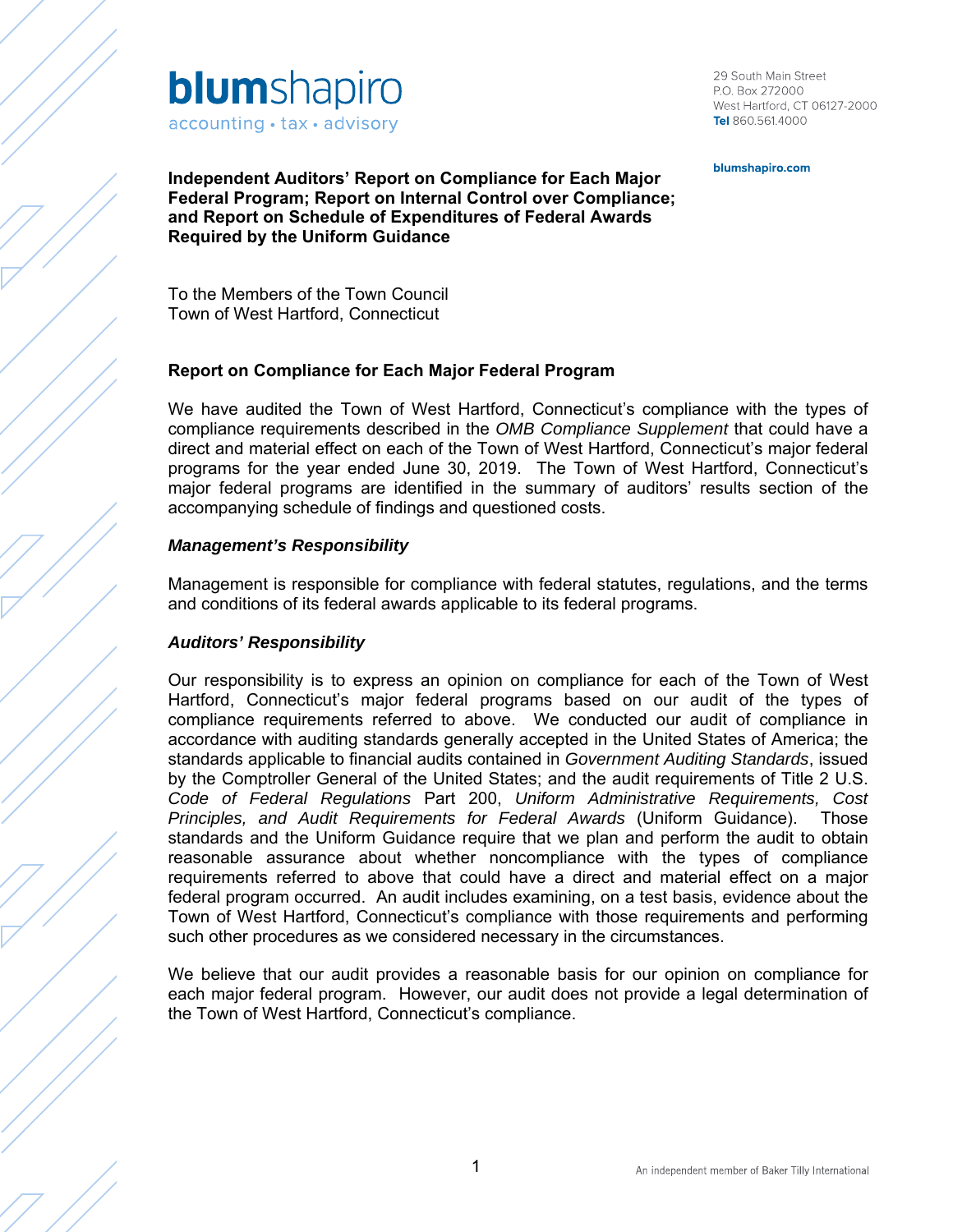

29 South Main Street P.O. Box 272000 West Hartford, CT 06127-2000 Tel 860.561.4000

blumshapiro.com

**Independent Auditors' Report on Compliance for Each Major Federal Program; Report on Internal Control over Compliance; and Report on Schedule of Expenditures of Federal Awards Required by the Uniform Guidance** 

To the Members of the Town Council Town of West Hartford, Connecticut

#### **Report on Compliance for Each Major Federal Program**

We have audited the Town of West Hartford, Connecticut's compliance with the types of compliance requirements described in the *OMB Compliance Supplement* that could have a direct and material effect on each of the Town of West Hartford, Connecticut's major federal programs for the year ended June 30, 2019. The Town of West Hartford, Connecticut's major federal programs are identified in the summary of auditors' results section of the accompanying schedule of findings and questioned costs.

#### *Management's Responsibility*

Management is responsible for compliance with federal statutes, regulations, and the terms and conditions of its federal awards applicable to its federal programs.

#### *Auditors' Responsibility*

Our responsibility is to express an opinion on compliance for each of the Town of West Hartford, Connecticut's major federal programs based on our audit of the types of compliance requirements referred to above. We conducted our audit of compliance in accordance with auditing standards generally accepted in the United States of America; the standards applicable to financial audits contained in *Government Auditing Standards*, issued by the Comptroller General of the United States; and the audit requirements of Title 2 U.S. *Code of Federal Regulations* Part 200, *Uniform Administrative Requirements, Cost Principles, and Audit Requirements for Federal Awards* (Uniform Guidance). Those standards and the Uniform Guidance require that we plan and perform the audit to obtain reasonable assurance about whether noncompliance with the types of compliance requirements referred to above that could have a direct and material effect on a major federal program occurred. An audit includes examining, on a test basis, evidence about the Town of West Hartford, Connecticut's compliance with those requirements and performing such other procedures as we considered necessary in the circumstances.

We believe that our audit provides a reasonable basis for our opinion on compliance for each major federal program. However, our audit does not provide a legal determination of the Town of West Hartford, Connecticut's compliance.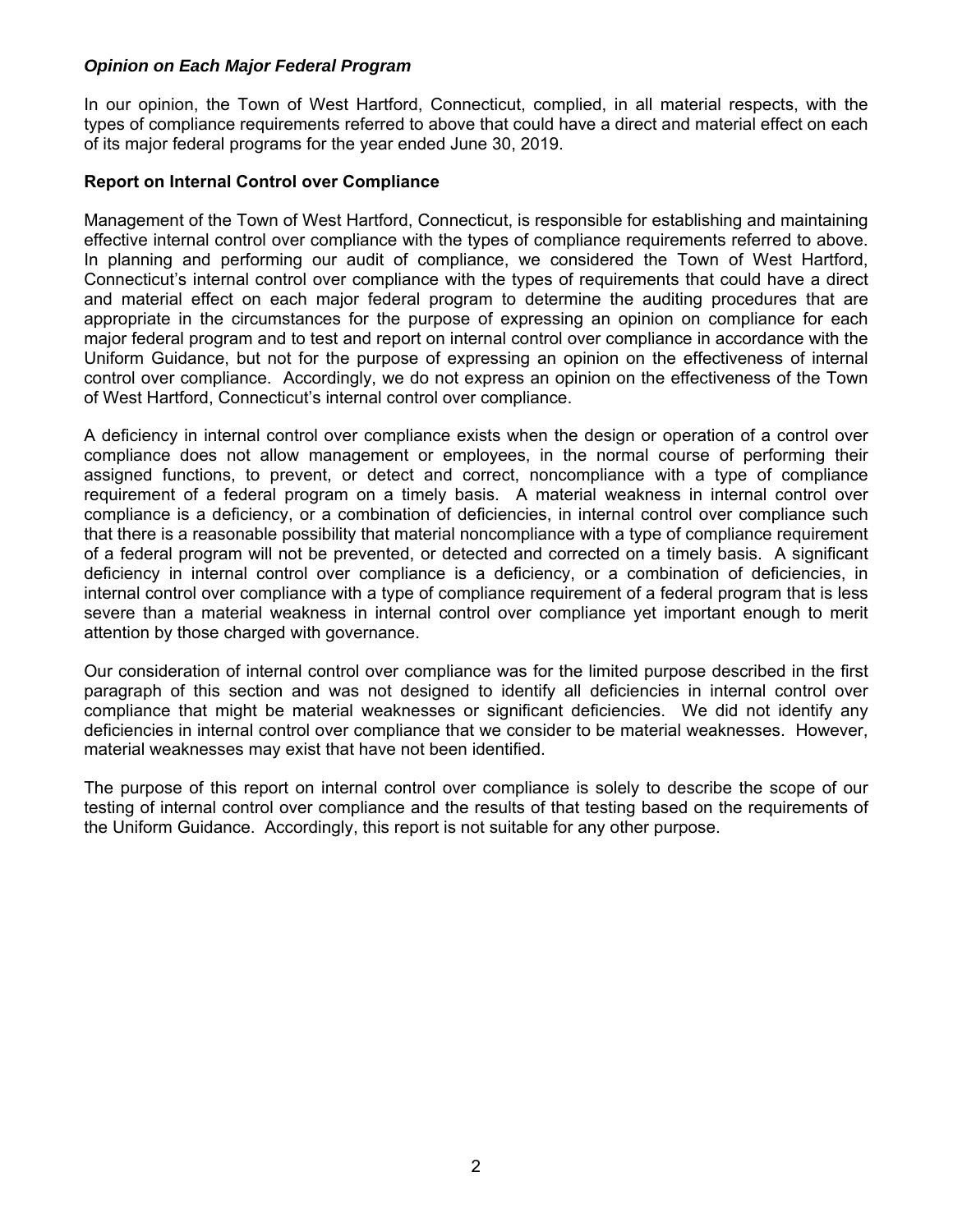### *Opinion on Each Major Federal Program*

In our opinion, the Town of West Hartford, Connecticut, complied, in all material respects, with the types of compliance requirements referred to above that could have a direct and material effect on each of its major federal programs for the year ended June 30, 2019.

#### **Report on Internal Control over Compliance**

Management of the Town of West Hartford, Connecticut, is responsible for establishing and maintaining effective internal control over compliance with the types of compliance requirements referred to above. In planning and performing our audit of compliance, we considered the Town of West Hartford, Connecticut's internal control over compliance with the types of requirements that could have a direct and material effect on each major federal program to determine the auditing procedures that are appropriate in the circumstances for the purpose of expressing an opinion on compliance for each major federal program and to test and report on internal control over compliance in accordance with the Uniform Guidance, but not for the purpose of expressing an opinion on the effectiveness of internal control over compliance. Accordingly, we do not express an opinion on the effectiveness of the Town of West Hartford, Connecticut's internal control over compliance.

A deficiency in internal control over compliance exists when the design or operation of a control over compliance does not allow management or employees, in the normal course of performing their assigned functions, to prevent, or detect and correct, noncompliance with a type of compliance requirement of a federal program on a timely basis. A material weakness in internal control over compliance is a deficiency, or a combination of deficiencies, in internal control over compliance such that there is a reasonable possibility that material noncompliance with a type of compliance requirement of a federal program will not be prevented, or detected and corrected on a timely basis. A significant deficiency in internal control over compliance is a deficiency, or a combination of deficiencies, in internal control over compliance with a type of compliance requirement of a federal program that is less severe than a material weakness in internal control over compliance yet important enough to merit attention by those charged with governance.

Our consideration of internal control over compliance was for the limited purpose described in the first paragraph of this section and was not designed to identify all deficiencies in internal control over compliance that might be material weaknesses or significant deficiencies. We did not identify any deficiencies in internal control over compliance that we consider to be material weaknesses. However, material weaknesses may exist that have not been identified.

The purpose of this report on internal control over compliance is solely to describe the scope of our testing of internal control over compliance and the results of that testing based on the requirements of the Uniform Guidance. Accordingly, this report is not suitable for any other purpose.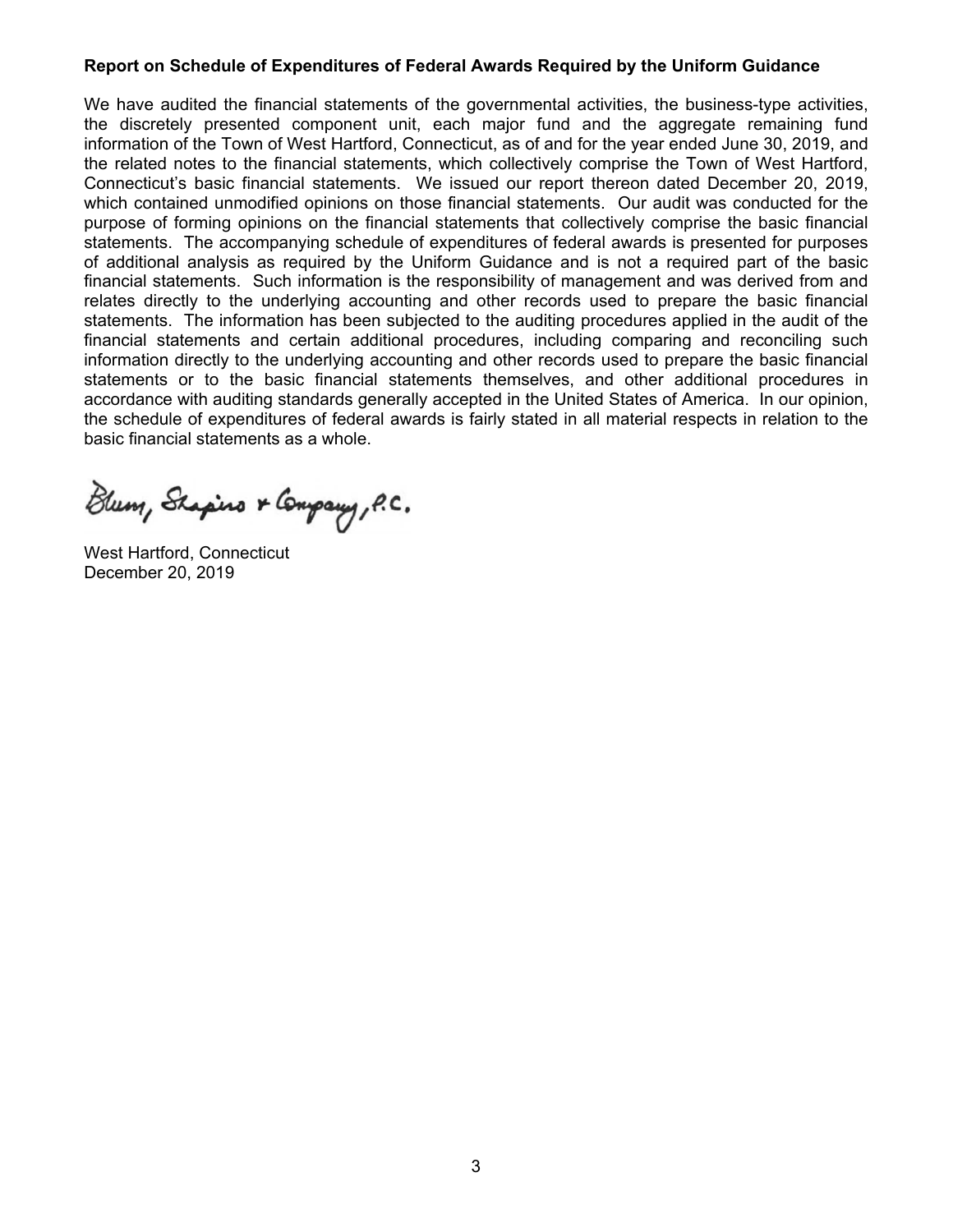#### **Report on Schedule of Expenditures of Federal Awards Required by the Uniform Guidance**

We have audited the financial statements of the governmental activities, the business-type activities, the discretely presented component unit, each major fund and the aggregate remaining fund information of the Town of West Hartford, Connecticut, as of and for the year ended June 30, 2019, and the related notes to the financial statements, which collectively comprise the Town of West Hartford, Connecticut's basic financial statements. We issued our report thereon dated December 20, 2019, which contained unmodified opinions on those financial statements. Our audit was conducted for the purpose of forming opinions on the financial statements that collectively comprise the basic financial statements. The accompanying schedule of expenditures of federal awards is presented for purposes of additional analysis as required by the Uniform Guidance and is not a required part of the basic financial statements. Such information is the responsibility of management and was derived from and relates directly to the underlying accounting and other records used to prepare the basic financial statements. The information has been subjected to the auditing procedures applied in the audit of the financial statements and certain additional procedures, including comparing and reconciling such information directly to the underlying accounting and other records used to prepare the basic financial statements or to the basic financial statements themselves, and other additional procedures in accordance with auditing standards generally accepted in the United States of America. In our opinion, the schedule of expenditures of federal awards is fairly stated in all material respects in relation to the basic financial statements as a whole.

Blum, Shapino & Company, P.C.

West Hartford, Connecticut December 20, 2019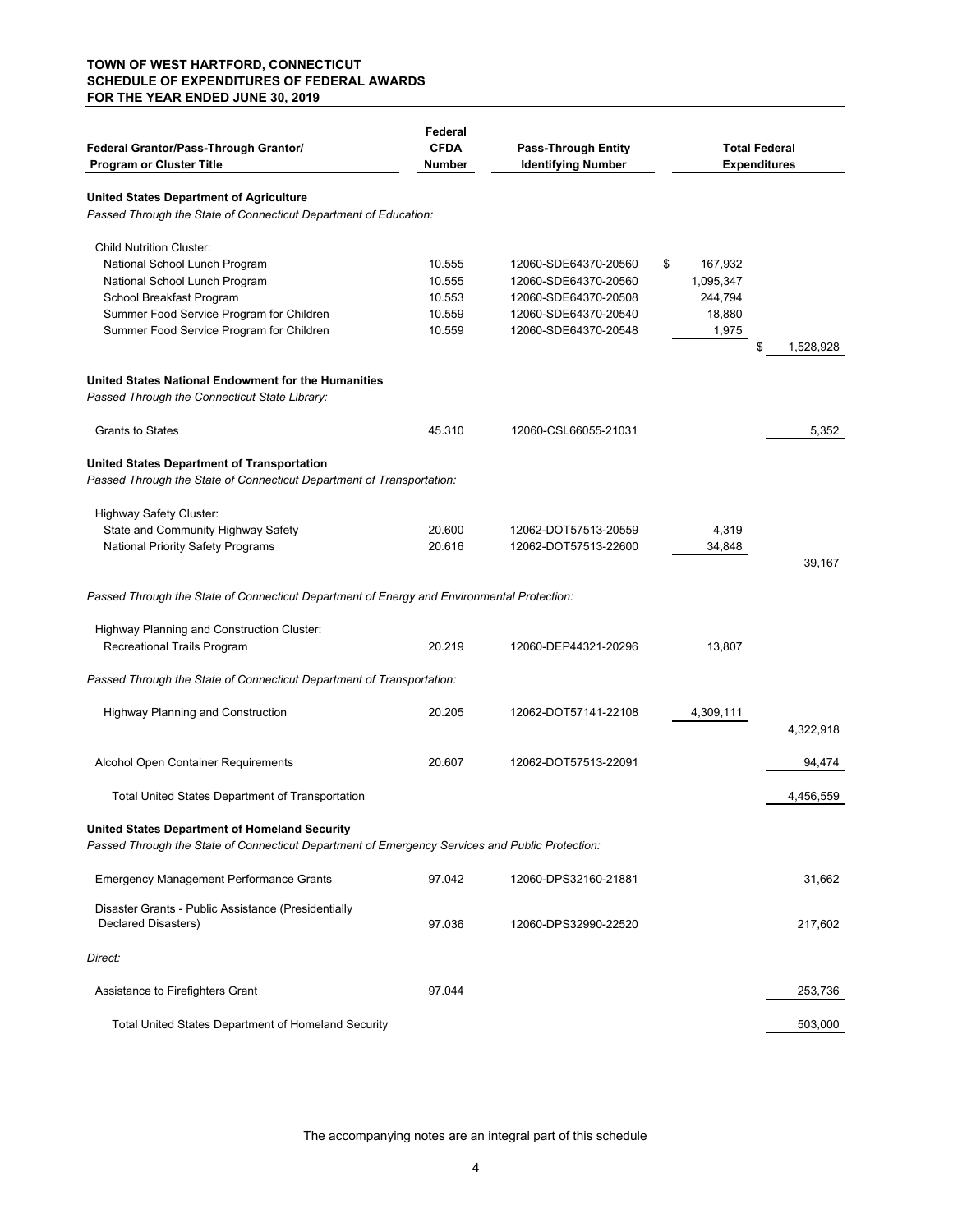#### **TOWN OF WEST HARTFORD, CONNECTICUT SCHEDULE OF EXPENDITURES OF FEDERAL AWARDS FOR THE YEAR ENDED JUNE 30, 2019**

| Federal Grantor/Pass-Through Grantor/<br><b>Program or Cluster Title</b>                                                   | Federal<br><b>CFDA</b><br><b>Number</b> | <b>Pass-Through Entity</b><br><b>Identifying Number</b> | <b>Total Federal</b><br><b>Expenditures</b> |                 |
|----------------------------------------------------------------------------------------------------------------------------|-----------------------------------------|---------------------------------------------------------|---------------------------------------------|-----------------|
| <b>United States Department of Agriculture</b>                                                                             |                                         |                                                         |                                             |                 |
| Passed Through the State of Connecticut Department of Education:                                                           |                                         |                                                         |                                             |                 |
| <b>Child Nutrition Cluster:</b>                                                                                            |                                         |                                                         |                                             |                 |
| National School Lunch Program                                                                                              | 10.555                                  | 12060-SDE64370-20560                                    | \$<br>167,932                               |                 |
| National School Lunch Program                                                                                              | 10.555                                  | 12060-SDE64370-20560                                    | 1,095,347                                   |                 |
| School Breakfast Program                                                                                                   | 10.553                                  | 12060-SDE64370-20508                                    | 244,794                                     |                 |
| Summer Food Service Program for Children                                                                                   | 10.559                                  | 12060-SDE64370-20540                                    | 18,880                                      |                 |
| Summer Food Service Program for Children                                                                                   | 10.559                                  | 12060-SDE64370-20548                                    | 1,975                                       | \$<br>1,528,928 |
| United States National Endowment for the Humanities<br>Passed Through the Connecticut State Library:                       |                                         |                                                         |                                             |                 |
| <b>Grants to States</b>                                                                                                    | 45.310                                  | 12060-CSL66055-21031                                    |                                             | 5,352           |
| <b>United States Department of Transportation</b><br>Passed Through the State of Connecticut Department of Transportation: |                                         |                                                         |                                             |                 |
| Highway Safety Cluster:                                                                                                    |                                         |                                                         |                                             |                 |
| State and Community Highway Safety                                                                                         | 20.600                                  | 12062-DOT57513-20559                                    | 4,319                                       |                 |
| <b>National Priority Safety Programs</b>                                                                                   | 20.616                                  | 12062-DOT57513-22600                                    | 34,848                                      |                 |
|                                                                                                                            |                                         |                                                         |                                             | 39,167          |
| Passed Through the State of Connecticut Department of Energy and Environmental Protection:                                 |                                         |                                                         |                                             |                 |
| Highway Planning and Construction Cluster:                                                                                 |                                         |                                                         |                                             |                 |
| Recreational Trails Program                                                                                                | 20.219                                  | 12060-DEP44321-20296                                    | 13,807                                      |                 |
| Passed Through the State of Connecticut Department of Transportation:                                                      |                                         |                                                         |                                             |                 |
| <b>Highway Planning and Construction</b>                                                                                   | 20.205                                  | 12062-DOT57141-22108                                    | 4,309,111                                   |                 |
|                                                                                                                            |                                         |                                                         |                                             | 4,322,918       |
| Alcohol Open Container Requirements                                                                                        | 20.607                                  | 12062-DOT57513-22091                                    |                                             | 94,474          |
| Total United States Department of Transportation                                                                           |                                         |                                                         |                                             | 4,456,559       |
| <b>United States Department of Homeland Security</b>                                                                       |                                         |                                                         |                                             |                 |
| Passed Through the State of Connecticut Department of Emergency Services and Public Protection:                            |                                         |                                                         |                                             |                 |
| <b>Emergency Management Performance Grants</b>                                                                             | 97.042                                  | 12060-DPS32160-21881                                    |                                             | 31,662          |
| Disaster Grants - Public Assistance (Presidentially<br>Declared Disasters)                                                 | 97.036                                  | 12060-DPS32990-22520                                    |                                             | 217,602         |
| Direct:                                                                                                                    |                                         |                                                         |                                             |                 |
| Assistance to Firefighters Grant                                                                                           | 97.044                                  |                                                         |                                             | 253,736         |
| Total United States Department of Homeland Security                                                                        |                                         |                                                         |                                             | 503,000         |

The accompanying notes are an integral part of this schedule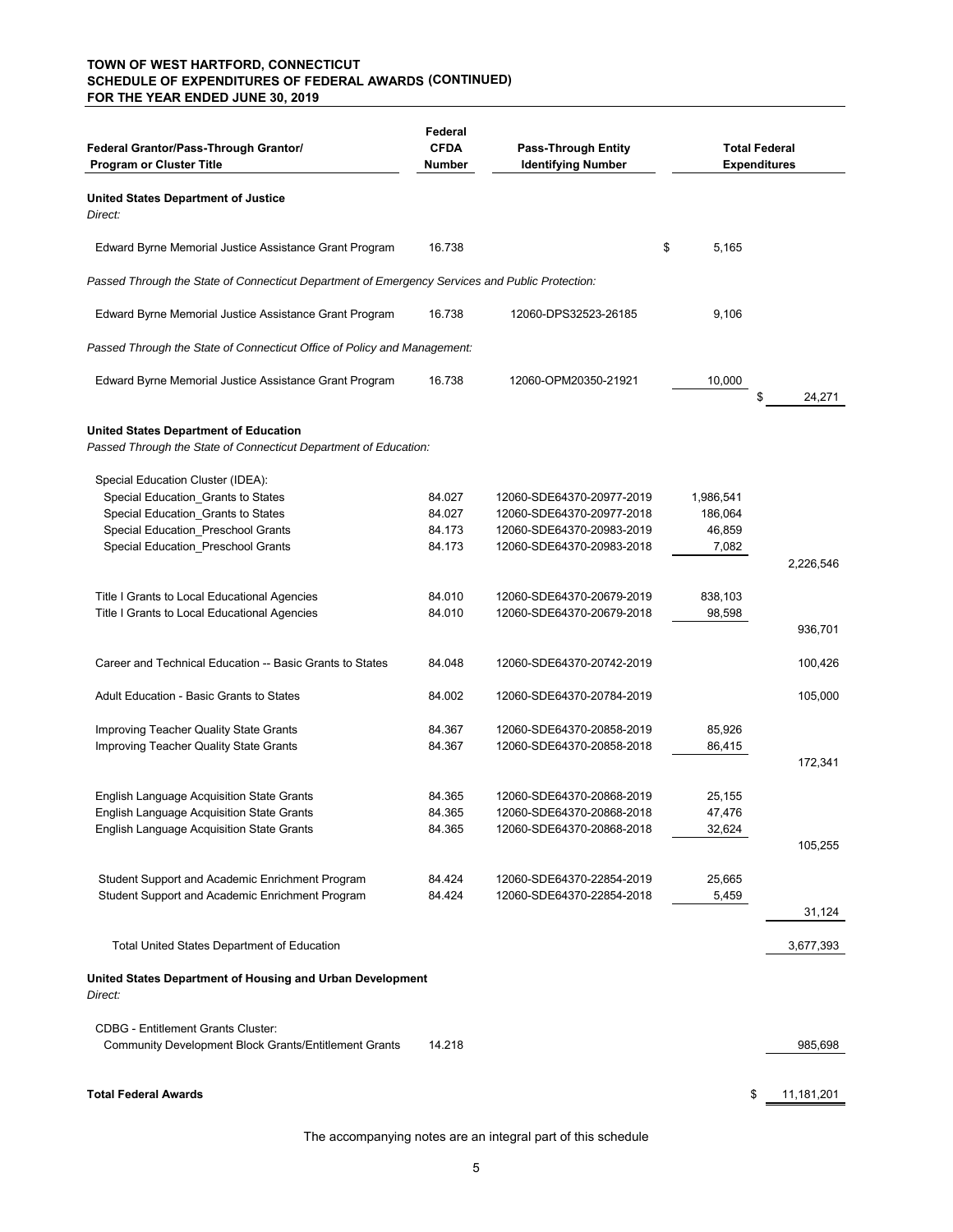#### **(CONTINUED) SCHEDULE OF EXPENDITURES OF FEDERAL AWARDS TOWN OF WEST HARTFORD, CONNECTICUT FOR THE YEAR ENDED JUNE 30, 2019**

| Federal Grantor/Pass-Through Grantor/<br><b>Program or Cluster Title</b>                                         | Federal<br><b>CFDA</b><br>Number | <b>Pass-Through Entity</b><br><b>Identifying Number</b> |             | <b>Total Federal</b><br><b>Expenditures</b> |
|------------------------------------------------------------------------------------------------------------------|----------------------------------|---------------------------------------------------------|-------------|---------------------------------------------|
| <b>United States Department of Justice</b><br>Direct:                                                            |                                  |                                                         |             |                                             |
| Edward Byrne Memorial Justice Assistance Grant Program                                                           | 16.738                           |                                                         | \$<br>5,165 |                                             |
| Passed Through the State of Connecticut Department of Emergency Services and Public Protection:                  |                                  |                                                         |             |                                             |
| Edward Byrne Memorial Justice Assistance Grant Program                                                           | 16.738                           | 12060-DPS32523-26185                                    | 9,106       |                                             |
| Passed Through the State of Connecticut Office of Policy and Management:                                         |                                  |                                                         |             |                                             |
| Edward Byrne Memorial Justice Assistance Grant Program                                                           | 16.738                           | 12060-OPM20350-21921                                    | 10,000      | \$<br>24,271                                |
| <b>United States Department of Education</b><br>Passed Through the State of Connecticut Department of Education: |                                  |                                                         |             |                                             |
| Special Education Cluster (IDEA):                                                                                |                                  |                                                         |             |                                             |
| Special Education_Grants to States                                                                               | 84.027                           | 12060-SDE64370-20977-2019                               | 1,986,541   |                                             |
| Special Education_Grants to States                                                                               | 84.027                           | 12060-SDE64370-20977-2018                               | 186,064     |                                             |
| Special Education_Preschool Grants                                                                               | 84.173                           | 12060-SDE64370-20983-2019                               | 46,859      |                                             |
| Special Education_Preschool Grants                                                                               | 84.173                           | 12060-SDE64370-20983-2018                               | 7,082       | 2,226,546                                   |
| Title I Grants to Local Educational Agencies                                                                     | 84.010                           | 12060-SDE64370-20679-2019                               | 838,103     |                                             |
| Title I Grants to Local Educational Agencies                                                                     | 84.010                           | 12060-SDE64370-20679-2018                               | 98,598      | 936,701                                     |
| Career and Technical Education -- Basic Grants to States                                                         | 84.048                           | 12060-SDE64370-20742-2019                               |             | 100,426                                     |
|                                                                                                                  |                                  |                                                         |             |                                             |
| Adult Education - Basic Grants to States                                                                         | 84.002                           | 12060-SDE64370-20784-2019                               |             | 105,000                                     |
| Improving Teacher Quality State Grants                                                                           | 84.367                           | 12060-SDE64370-20858-2019                               | 85,926      |                                             |
| Improving Teacher Quality State Grants                                                                           | 84.367                           | 12060-SDE64370-20858-2018                               | 86,415      |                                             |
|                                                                                                                  |                                  |                                                         |             | 172,341                                     |
| English Language Acquisition State Grants                                                                        | 84.365                           | 12060-SDE64370-20868-2019                               | 25,155      |                                             |
| <b>English Language Acquisition State Grants</b>                                                                 | 84.365                           | 12060-SDE64370-20868-2018                               | 47,476      |                                             |
| English Language Acquisition State Grants                                                                        | 84.365                           | 12060-SDE64370-20868-2018                               | 32,624      |                                             |
|                                                                                                                  |                                  |                                                         |             | 105,255                                     |
| Student Support and Academic Enrichment Program                                                                  | 84.424                           | 12060-SDE64370-22854-2019                               | 25,665      |                                             |
| Student Support and Academic Enrichment Program                                                                  | 84.424                           | 12060-SDE64370-22854-2018                               | 5,459       |                                             |
|                                                                                                                  |                                  |                                                         |             | 31,124                                      |
| <b>Total United States Department of Education</b>                                                               |                                  |                                                         |             | 3,677,393                                   |
| United States Department of Housing and Urban Development<br>Direct:                                             |                                  |                                                         |             |                                             |
| <b>CDBG - Entitlement Grants Cluster:</b>                                                                        |                                  |                                                         |             |                                             |
| <b>Community Development Block Grants/Entitlement Grants</b>                                                     | 14.218                           |                                                         |             | 985,698                                     |
| <b>Total Federal Awards</b>                                                                                      |                                  |                                                         |             | \$<br>11,181,201                            |
|                                                                                                                  |                                  |                                                         |             |                                             |

The accompanying notes are an integral part of this schedule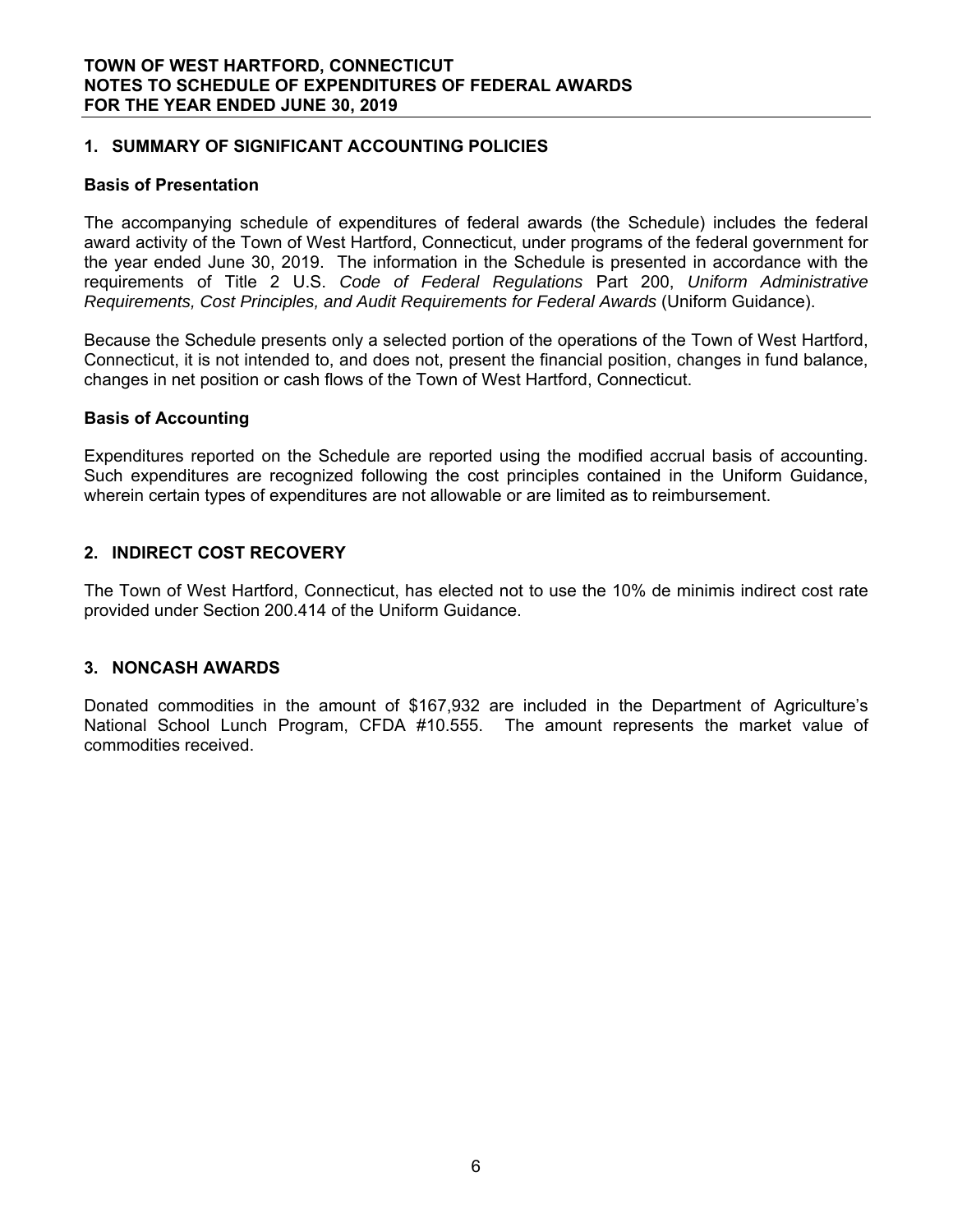# **1. SUMMARY OF SIGNIFICANT ACCOUNTING POLICIES**

#### **Basis of Presentation**

The accompanying schedule of expenditures of federal awards (the Schedule) includes the federal award activity of the Town of West Hartford, Connecticut, under programs of the federal government for the year ended June 30, 2019. The information in the Schedule is presented in accordance with the requirements of Title 2 U.S. *Code of Federal Regulations* Part 200, *Uniform Administrative Requirements, Cost Principles, and Audit Requirements for Federal Awards* (Uniform Guidance).

Because the Schedule presents only a selected portion of the operations of the Town of West Hartford, Connecticut, it is not intended to, and does not, present the financial position, changes in fund balance, changes in net position or cash flows of the Town of West Hartford, Connecticut.

#### **Basis of Accounting**

Expenditures reported on the Schedule are reported using the modified accrual basis of accounting. Such expenditures are recognized following the cost principles contained in the Uniform Guidance, wherein certain types of expenditures are not allowable or are limited as to reimbursement.

# **2. INDIRECT COST RECOVERY**

The Town of West Hartford, Connecticut, has elected not to use the 10% de minimis indirect cost rate provided under Section 200.414 of the Uniform Guidance.

# **3. NONCASH AWARDS**

Donated commodities in the amount of \$167,932 are included in the Department of Agriculture's National School Lunch Program, CFDA #10.555. The amount represents the market value of commodities received.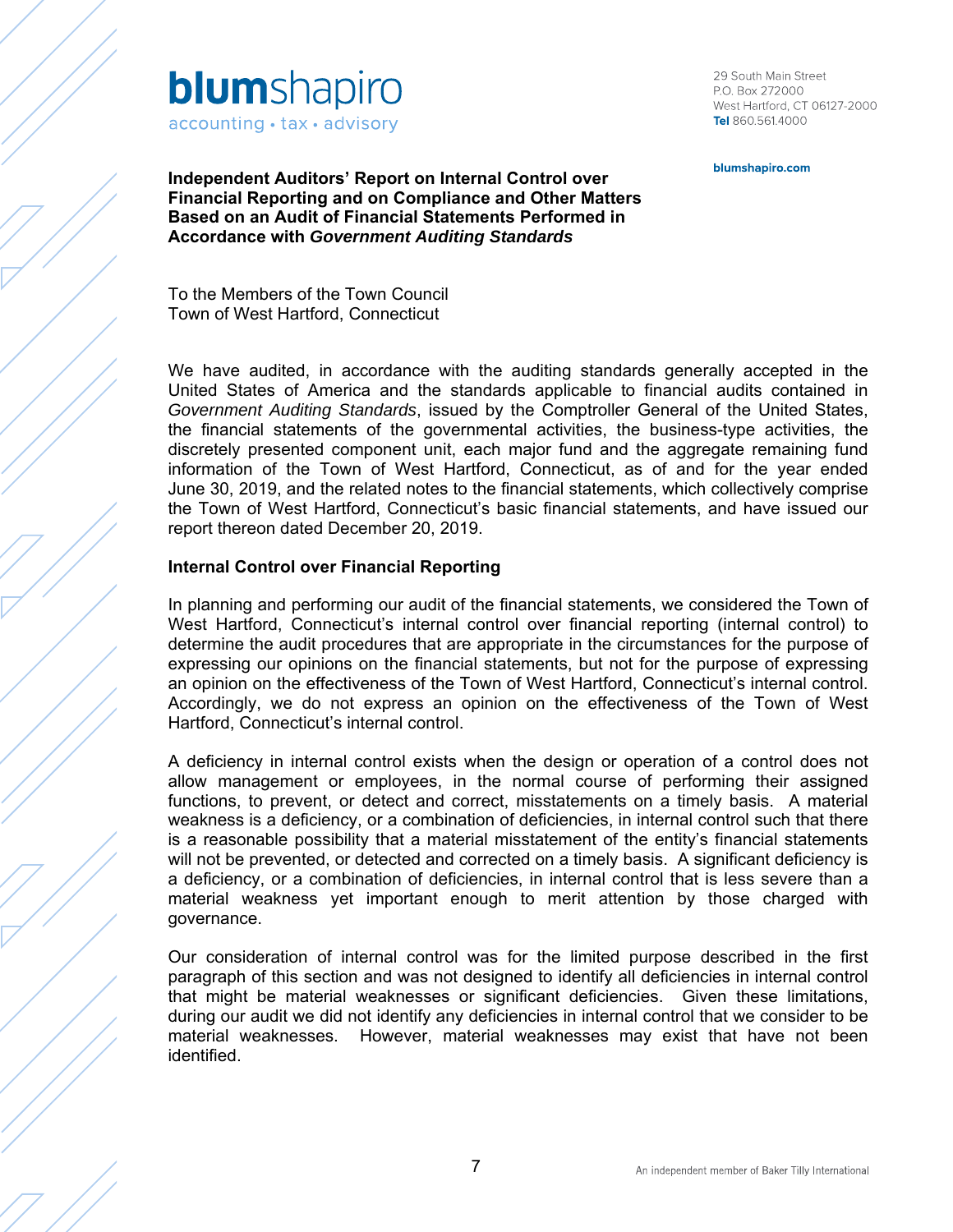

29 South Main Street P.O. Box 272000 West Hartford, CT 06127-2000 Tel 860.561.4000

blumshapiro.com

**Independent Auditors' Report on Internal Control over Financial Reporting and on Compliance and Other Matters Based on an Audit of Financial Statements Performed in Accordance with** *Government Auditing Standards*

To the Members of the Town Council Town of West Hartford, Connecticut

We have audited, in accordance with the auditing standards generally accepted in the United States of America and the standards applicable to financial audits contained in *Government Auditing Standards*, issued by the Comptroller General of the United States, the financial statements of the governmental activities, the business-type activities, the discretely presented component unit, each major fund and the aggregate remaining fund information of the Town of West Hartford, Connecticut, as of and for the year ended June 30, 2019, and the related notes to the financial statements, which collectively comprise the Town of West Hartford, Connecticut's basic financial statements, and have issued our report thereon dated December 20, 2019.

#### **Internal Control over Financial Reporting**

In planning and performing our audit of the financial statements, we considered the Town of West Hartford, Connecticut's internal control over financial reporting (internal control) to determine the audit procedures that are appropriate in the circumstances for the purpose of expressing our opinions on the financial statements, but not for the purpose of expressing an opinion on the effectiveness of the Town of West Hartford, Connecticut's internal control. Accordingly, we do not express an opinion on the effectiveness of the Town of West Hartford, Connecticut's internal control.

A deficiency in internal control exists when the design or operation of a control does not allow management or employees, in the normal course of performing their assigned functions, to prevent, or detect and correct, misstatements on a timely basis. A material weakness is a deficiency, or a combination of deficiencies, in internal control such that there is a reasonable possibility that a material misstatement of the entity's financial statements will not be prevented, or detected and corrected on a timely basis. A significant deficiency is a deficiency, or a combination of deficiencies, in internal control that is less severe than a material weakness yet important enough to merit attention by those charged with governance.

Our consideration of internal control was for the limited purpose described in the first paragraph of this section and was not designed to identify all deficiencies in internal control that might be material weaknesses or significant deficiencies. Given these limitations, during our audit we did not identify any deficiencies in internal control that we consider to be material weaknesses. However, material weaknesses may exist that have not been identified.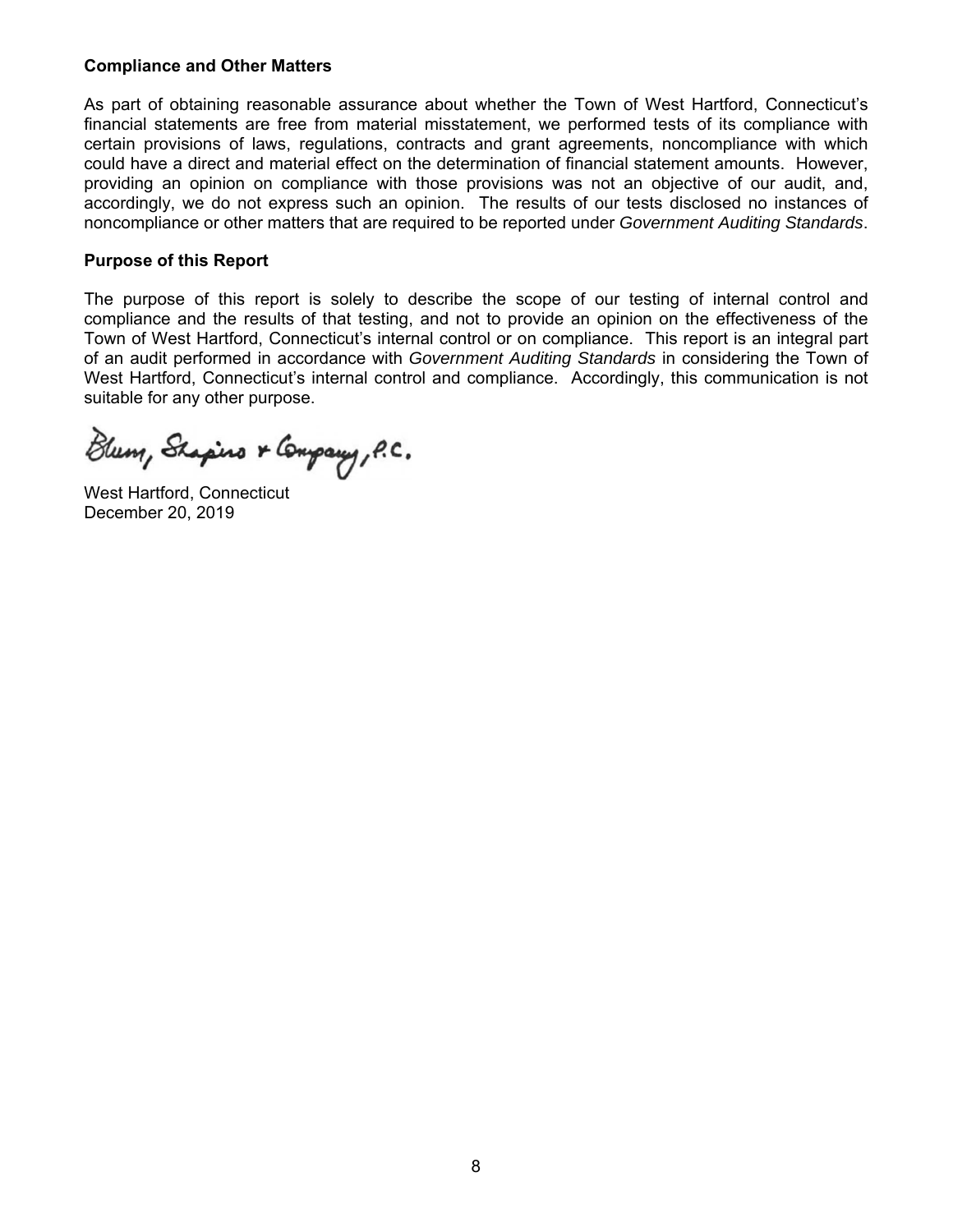#### **Compliance and Other Matters**

As part of obtaining reasonable assurance about whether the Town of West Hartford, Connecticut's financial statements are free from material misstatement, we performed tests of its compliance with certain provisions of laws, regulations, contracts and grant agreements, noncompliance with which could have a direct and material effect on the determination of financial statement amounts. However, providing an opinion on compliance with those provisions was not an objective of our audit, and, accordingly, we do not express such an opinion. The results of our tests disclosed no instances of noncompliance or other matters that are required to be reported under *Government Auditing Standards*.

#### **Purpose of this Report**

The purpose of this report is solely to describe the scope of our testing of internal control and compliance and the results of that testing, and not to provide an opinion on the effectiveness of the Town of West Hartford, Connecticut's internal control or on compliance. This report is an integral part of an audit performed in accordance with *Government Auditing Standards* in considering the Town of West Hartford, Connecticut's internal control and compliance. Accordingly, this communication is not suitable for any other purpose.

Blum, Shapino & Company, P.C.

West Hartford, Connecticut December 20, 2019